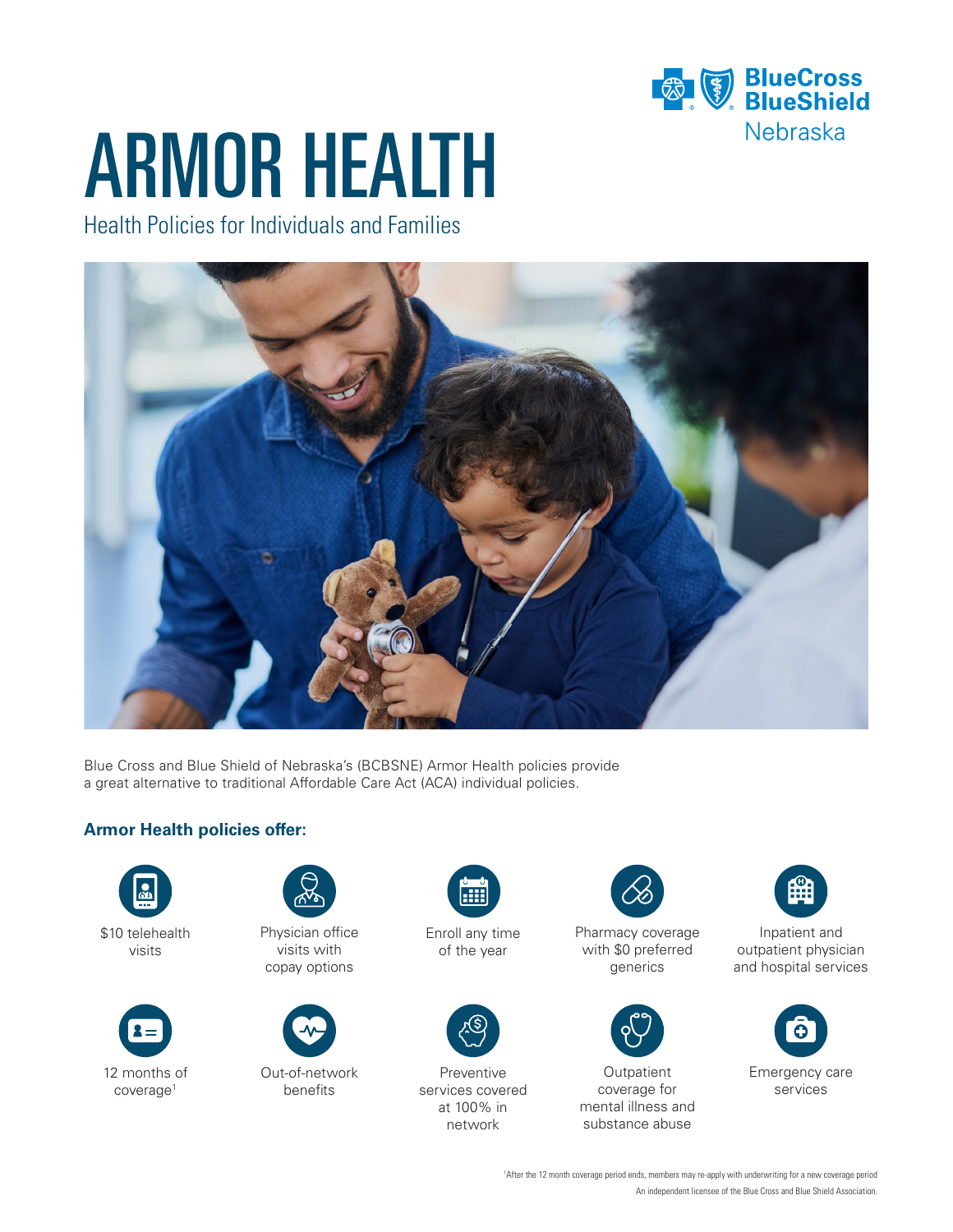

# ARMOR HEALTH

Health Policies for Individuals and Families



Blue Cross and Blue Shield of Nebraska's (BCBSNE) Armor Health policies provide a great alternative to traditional Affordable Care Act (ACA) individual policies.

#### **Armor Health policies offer:**







Physician office visits with copay options



Out-of-network benefits



Enroll any time of the year



Preventive services covered at 100% in network



Pharmacy coverage with \$0 preferred generics



**Outpatient** coverage for mental illness and substance abuse



Inpatient and outpatient physician and hospital services



Emergency care services

An independent licensee of the Blue Cross and Blue Shield Association. 1 After the 12 month coverage period ends, members may re-apply with underwriting for a new coverage period